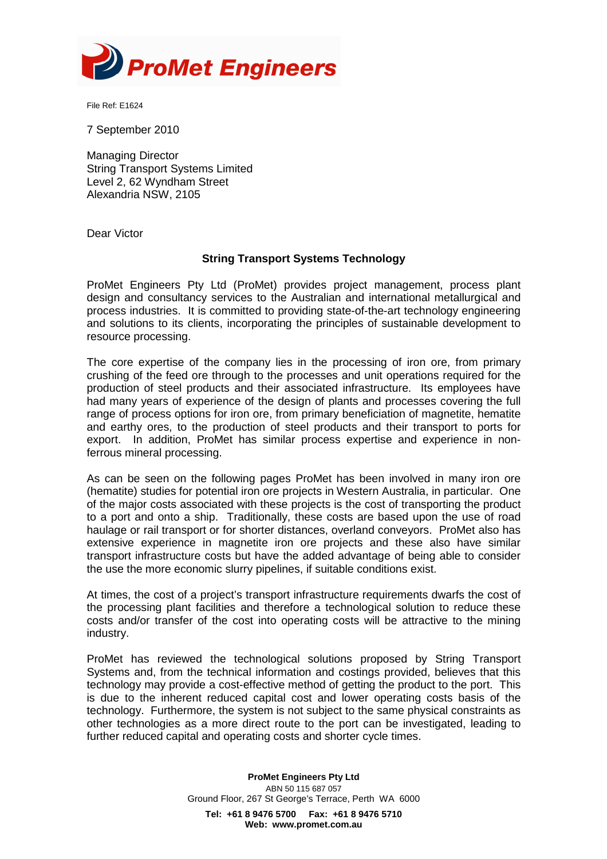

File Ref: E1624

7 September 2010

Managing Director String Transport Systems Limited Level 2, 62 Wyndham Street Alexandria NSW, 2105

Dear Victor

## **String Transport Systems Technology**

ProMet Engineers Pty Ltd (ProMet) provides project management, process plant design and consultancy services to the Australian and international metallurgical and process industries. It is committed to providing state-of-the-art technology engineering and solutions to its clients, incorporating the principles of sustainable development to resource processing.

The core expertise of the company lies in the processing of iron ore, from primary crushing of the feed ore through to the processes and unit operations required for the production of steel products and their associated infrastructure. Its employees have had many years of experience of the design of plants and processes covering the full range of process options for iron ore, from primary beneficiation of magnetite, hematite and earthy ores, to the production of steel products and their transport to ports for export. In addition, ProMet has similar process expertise and experience in nonferrous mineral processing.

As can be seen on the following pages ProMet has been involved in many iron ore (hematite) studies for potential iron ore projects in Western Australia, in particular. One of the major costs associated with these projects is the cost of transporting the product to a port and onto a ship. Traditionally, these costs are based upon the use of road haulage or rail transport or for shorter distances, overland conveyors. ProMet also has extensive experience in magnetite iron ore projects and these also have similar transport infrastructure costs but have the added advantage of being able to consider the use the more economic slurry pipelines, if suitable conditions exist.

At times, the cost of a project's transport infrastructure requirements dwarfs the cost of the processing plant facilities and therefore a technological solution to reduce these costs and/or transfer of the cost into operating costs will be attractive to the mining industry.

ProMet has reviewed the technological solutions proposed by String Transport Systems and, from the technical information and costings provided, believes that this technology may provide a cost-effective method of getting the product to the port. This is due to the inherent reduced capital cost and lower operating costs basis of the technology. Furthermore, the system is not subject to the same physical constraints as other technologies as a more direct route to the port can be investigated, leading to further reduced capital and operating costs and shorter cycle times.

> **ProMet Engineers Pty Ltd**  ABN 50 115 687 057 Ground Floor, 267 St George's Terrace, Perth WA 6000 **Tel: +61 8 9476 5700 Fax: +61 8 9476 5710 Web: www.promet.com.au**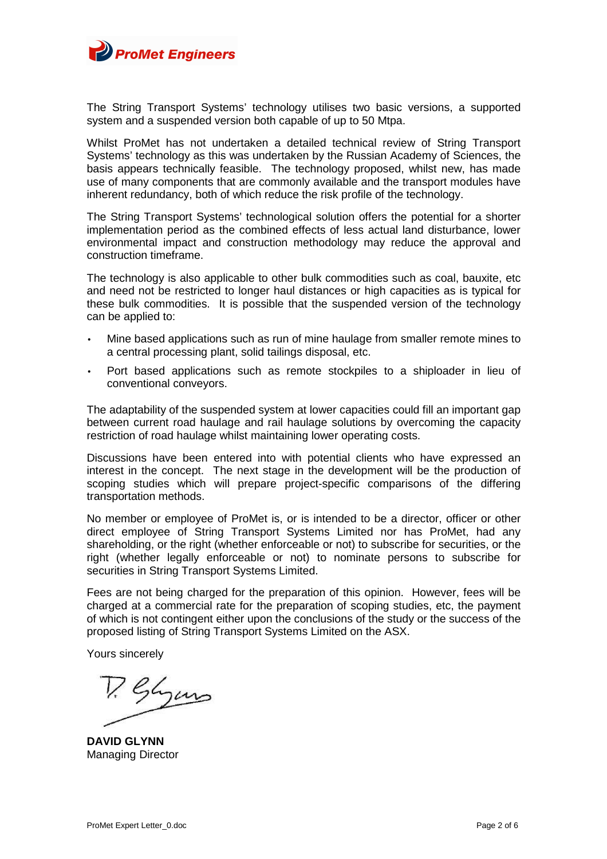

The String Transport Systems' technology utilises two basic versions, a supported system and a suspended version both capable of up to 50 Mtpa.

Whilst ProMet has not undertaken a detailed technical review of String Transport Systems' technology as this was undertaken by the Russian Academy of Sciences, the basis appears technically feasible. The technology proposed, whilst new, has made use of many components that are commonly available and the transport modules have inherent redundancy, both of which reduce the risk profile of the technology.

The String Transport Systems' technological solution offers the potential for a shorter implementation period as the combined effects of less actual land disturbance, lower environmental impact and construction methodology may reduce the approval and construction timeframe.

The technology is also applicable to other bulk commodities such as coal, bauxite, etc and need not be restricted to longer haul distances or high capacities as is typical for these bulk commodities. It is possible that the suspended version of the technology can be applied to:

- Mine based applications such as run of mine haulage from smaller remote mines to a central processing plant, solid tailings disposal, etc.
- Port based applications such as remote stockpiles to a shiploader in lieu of conventional conveyors.

The adaptability of the suspended system at lower capacities could fill an important gap between current road haulage and rail haulage solutions by overcoming the capacity restriction of road haulage whilst maintaining lower operating costs.

Discussions have been entered into with potential clients who have expressed an interest in the concept. The next stage in the development will be the production of scoping studies which will prepare project-specific comparisons of the differing transportation methods.

No member or employee of ProMet is, or is intended to be a director, officer or other direct employee of String Transport Systems Limited nor has ProMet, had any shareholding, or the right (whether enforceable or not) to subscribe for securities, or the right (whether legally enforceable or not) to nominate persons to subscribe for securities in String Transport Systems Limited.

Fees are not being charged for the preparation of this opinion. However, fees will be charged at a commercial rate for the preparation of scoping studies, etc, the payment of which is not contingent either upon the conclusions of the study or the success of the proposed listing of String Transport Systems Limited on the ASX.

Yours sincerely

P. Glyms

**DAVID GLYNN**  Managing Director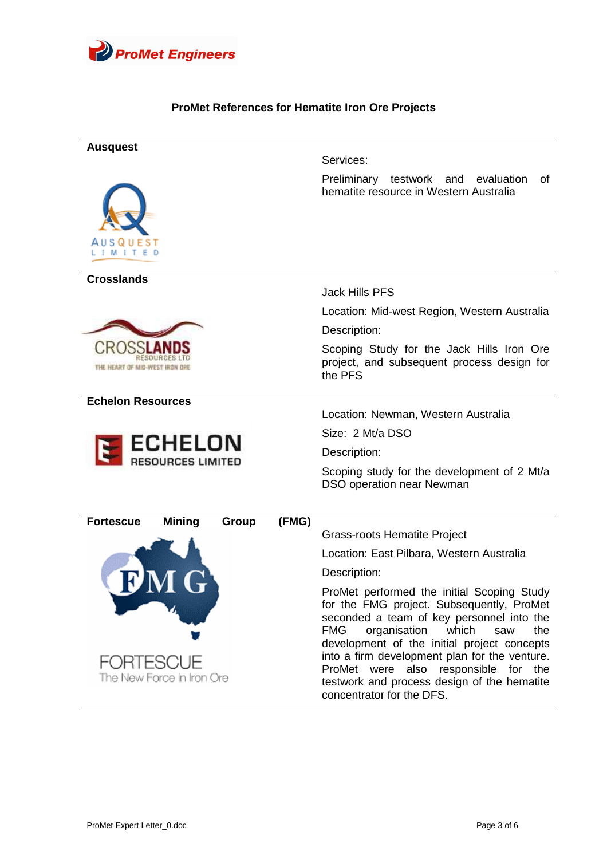

## **ProMet References for Hematite Iron Ore Projects**

| <b>Ausquest</b><br>A U S Q U E S T<br>м             | Services:<br>Preliminary<br>0f<br>testwork and<br>evaluation<br>hematite resource in Western Australia                                                                                                                                                                                                                                                                                                        |
|-----------------------------------------------------|---------------------------------------------------------------------------------------------------------------------------------------------------------------------------------------------------------------------------------------------------------------------------------------------------------------------------------------------------------------------------------------------------------------|
| <b>Crosslands</b>                                   | <b>Jack Hills PFS</b>                                                                                                                                                                                                                                                                                                                                                                                         |
|                                                     | Location: Mid-west Region, Western Australia                                                                                                                                                                                                                                                                                                                                                                  |
|                                                     | Description:                                                                                                                                                                                                                                                                                                                                                                                                  |
| HEART OF MID-WEST IRD                               | Scoping Study for the Jack Hills Iron Ore<br>project, and subsequent process design for<br>the PFS                                                                                                                                                                                                                                                                                                            |
| <b>Echelon Resources</b>                            |                                                                                                                                                                                                                                                                                                                                                                                                               |
|                                                     | Location: Newman, Western Australia                                                                                                                                                                                                                                                                                                                                                                           |
| <b>ECHELON</b><br><b>RESOURCES LIMITED</b>          | Size: 2 Mt/a DSO                                                                                                                                                                                                                                                                                                                                                                                              |
|                                                     | Description:                                                                                                                                                                                                                                                                                                                                                                                                  |
|                                                     | Scoping study for the development of 2 Mt/a<br>DSO operation near Newman                                                                                                                                                                                                                                                                                                                                      |
| <b>Mining</b><br>(FMG)<br><b>Fortescue</b><br>Group |                                                                                                                                                                                                                                                                                                                                                                                                               |
|                                                     | <b>Grass-roots Hematite Project</b>                                                                                                                                                                                                                                                                                                                                                                           |
|                                                     | Location: East Pilbara, Western Australia                                                                                                                                                                                                                                                                                                                                                                     |
|                                                     | Description:                                                                                                                                                                                                                                                                                                                                                                                                  |
| FORTESCUE<br>The New Force in Iron Ore              | ProMet performed the initial Scoping Study<br>for the FMG project. Subsequently, ProMet<br>seconded a team of key personnel into the<br><b>FMG</b><br>organisation<br>which<br>the<br>saw<br>development of the initial project concepts<br>into a firm development plan for the venture.<br>ProMet were also responsible for the<br>testwork and process design of the hematite<br>concentrator for the DFS. |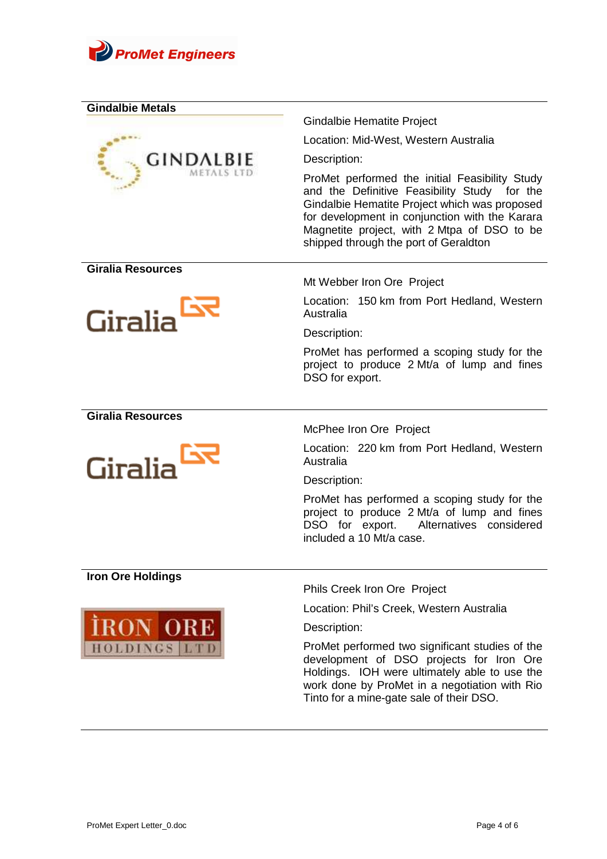

| <b>Gindalbie Metals</b>  |                                                                                                                                                                                                                                                                                           |
|--------------------------|-------------------------------------------------------------------------------------------------------------------------------------------------------------------------------------------------------------------------------------------------------------------------------------------|
|                          | Gindalbie Hematite Project                                                                                                                                                                                                                                                                |
|                          | Location: Mid-West, Western Australia                                                                                                                                                                                                                                                     |
| <b>GINDALBIE</b>         | Description:                                                                                                                                                                                                                                                                              |
|                          | ProMet performed the initial Feasibility Study<br>and the Definitive Feasibility Study for the<br>Gindalbie Hematite Project which was proposed<br>for development in conjunction with the Karara<br>Magnetite project, with 2 Mtpa of DSO to be<br>shipped through the port of Geraldton |
| <b>Giralia Resources</b> | Mt Webber Iron Ore Project                                                                                                                                                                                                                                                                |
| Giralia                  | Location: 150 km from Port Hedland, Western<br>Australia                                                                                                                                                                                                                                  |
|                          | Description:                                                                                                                                                                                                                                                                              |
|                          | ProMet has performed a scoping study for the<br>project to produce 2 Mt/a of lump and fines<br>DSO for export.                                                                                                                                                                            |
| <b>Giralia Resources</b> |                                                                                                                                                                                                                                                                                           |
|                          | McPhee Iron Ore Project                                                                                                                                                                                                                                                                   |
| Giralia                  | Location: 220 km from Port Hedland, Western<br>Australia                                                                                                                                                                                                                                  |
|                          | Description:                                                                                                                                                                                                                                                                              |
|                          | ProMet has performed a scoping study for the<br>project to produce 2 Mt/a of lump and fines<br>DSO for export. Alternatives considered<br>included a 10 Mt/a case.                                                                                                                        |
| <b>Iron Ore Holdings</b> |                                                                                                                                                                                                                                                                                           |
|                          | Phils Creek Iron Ore Project                                                                                                                                                                                                                                                              |
|                          | Location: Phil's Creek, Western Australia                                                                                                                                                                                                                                                 |
| <b>IRON ORE</b>          | Description:                                                                                                                                                                                                                                                                              |
| <b>HOLDINGS LTD</b>      | ProMet performed two significant studies of the<br>development of DSO projects for Iron Ore<br>Holdings. IOH were ultimately able to use the<br>work done by ProMet in a negotiation with Rio<br>Tinto for a mine-gate sale of their DSO.                                                 |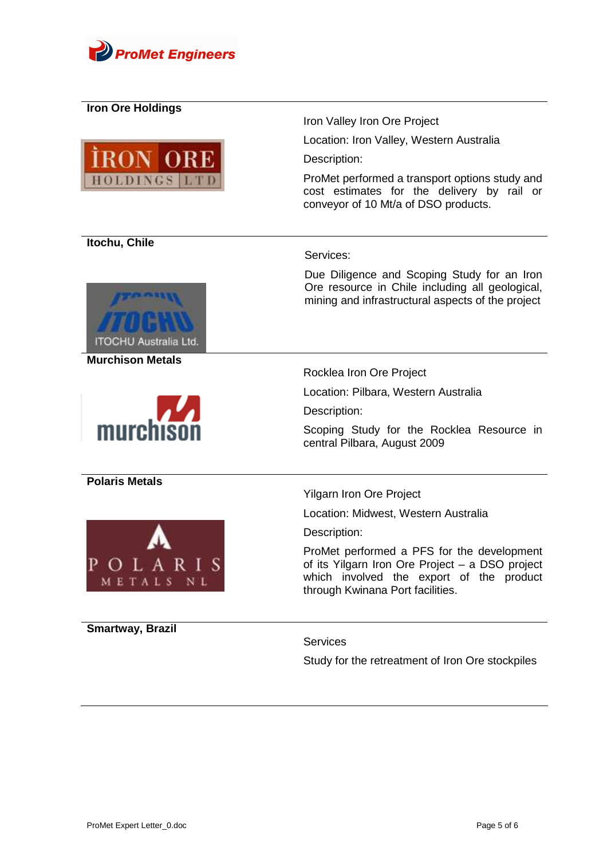

| <b>Iron Ore Holdings</b>              |                                                                                                                                                                               |
|---------------------------------------|-------------------------------------------------------------------------------------------------------------------------------------------------------------------------------|
|                                       | Iron Valley Iron Ore Project                                                                                                                                                  |
| <b>RON ORE</b><br><b>HOLDINGS LTD</b> | Location: Iron Valley, Western Australia                                                                                                                                      |
|                                       | Description:                                                                                                                                                                  |
|                                       | ProMet performed a transport options study and<br>cost estimates for the delivery by rail or<br>conveyor of 10 Mt/a of DSO products.                                          |
| Itochu, Chile                         |                                                                                                                                                                               |
|                                       | Services:                                                                                                                                                                     |
| ITOCHU Australia Ltd.                 | Due Diligence and Scoping Study for an Iron<br>Ore resource in Chile including all geological,<br>mining and infrastructural aspects of the project                           |
| <b>Murchison Metals</b>               | Rocklea Iron Ore Project                                                                                                                                                      |
|                                       |                                                                                                                                                                               |
|                                       | Location: Pilbara, Western Australia                                                                                                                                          |
| murchison                             | Description:                                                                                                                                                                  |
|                                       | Scoping Study for the Rocklea Resource in<br>central Pilbara, August 2009                                                                                                     |
| <b>Polaris Metals</b>                 |                                                                                                                                                                               |
|                                       | <b>Yilgarn Iron Ore Project</b>                                                                                                                                               |
|                                       | Location: Midwest, Western Australia                                                                                                                                          |
|                                       | Description:                                                                                                                                                                  |
| OLARIS<br>METALS NL                   | ProMet performed a PFS for the development<br>of its Yilgarn Iron Ore Project - a DSO project<br>which involved the export of the product<br>through Kwinana Port facilities. |
|                                       |                                                                                                                                                                               |
| Smartway, Brazil                      | <b>Services</b>                                                                                                                                                               |
|                                       | Study for the retreatment of Iron Ore stockpiles                                                                                                                              |
|                                       |                                                                                                                                                                               |